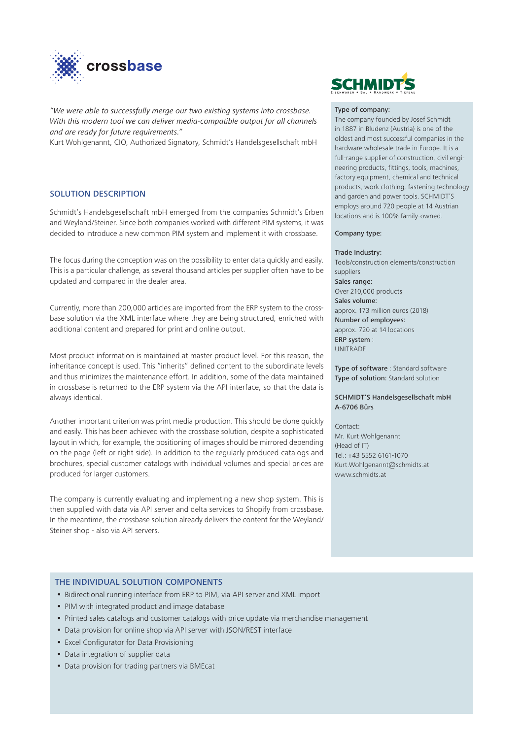

*"We were able to successfully merge our two existing systems into crossbase. With this modern tool we can deliver media-compatible output for all channels and are ready for future requirements."*

Kurt Wohlgenannt, CIO, Authorized Signatory, Schmidt's Handelsgesellschaft mbH

# SOLUTION DESCRIPTION

Schmidt's Handelsgesellschaft mbH emerged from the companies Schmidt's Erben and Weyland/Steiner. Since both companies worked with different PIM systems, it was decided to introduce a new common PIM system and implement it with crossbase.

The focus during the conception was on the possibility to enter data quickly and easily. This is a particular challenge, as several thousand articles per supplier often have to be updated and compared in the dealer area.

Currently, more than 200,000 articles are imported from the ERP system to the crossbase solution via the XML interface where they are being structured, enriched with additional content and prepared for print and online output.

Most product information is maintained at master product level. For this reason, the inheritance concept is used. This "inherits" defined content to the subordinate levels and thus minimizes the maintenance effort. In addition, some of the data maintained in crossbase is returned to the ERP system via the API interface, so that the data is always identical.

Another important criterion was print media production. This should be done quickly and easily. This has been achieved with the crossbase solution, despite a sophisticated layout in which, for example, the positioning of images should be mirrored depending on the page (left or right side). In addition to the regularly produced catalogs and brochures, special customer catalogs with individual volumes and special prices are produced for larger customers.

The company is currently evaluating and implementing a new shop system. This is then supplied with data via API server and delta services to Shopify from crossbase. In the meantime, the crossbase solution already delivers the content for the Weyland/ Steiner shop - also via API servers.

# **SCHMIDTS**

## Type of company:

The company founded by Josef Schmidt in 1887 in Bludenz (Austria) is one of the oldest and most successful companies in the hardware wholesale trade in Europe. It is a full-range supplier of construction, civil engineering products, fittings, tools, machines, factory equipment, chemical and technical products, work clothing, fastening technology and garden and power tools. SCHMIDT'S employs around 720 people at 14 Austrian locations and is 100% family-owned.

#### Company type:

#### Trade Industry:

Tools/construction elements/construction suppliers Sales range: Over 210,000 products Sales volume: approx. 173 million euros (2018) Number of employees: approx. 720 at 14 locations ERP system : UNITRADE

Type of software : Standard software Type of solution: Standard solution

### SCHMIDT'S Handelsgesellschaft mbH A-6706 Bürs

Contact: Mr. Kurt Wohlgenannt (Head of IT) Tel.: +43 5552 6161-1070 Kurt.Wohlgenannt@schmidts.at www.schmidts.at

## THE INDIVIDUAL SOLUTION COMPONENTS

- Bidirectional running interface from ERP to PIM, via API server and XML import
- PIM with integrated product and image database
- Printed sales catalogs and customer catalogs with price update via merchandise management
- Data provision for online shop via API server with JSON/REST interface
- Excel Configurator for Data Provisioning
- Data integration of supplier data
- Data provision for trading partners via BMEcat